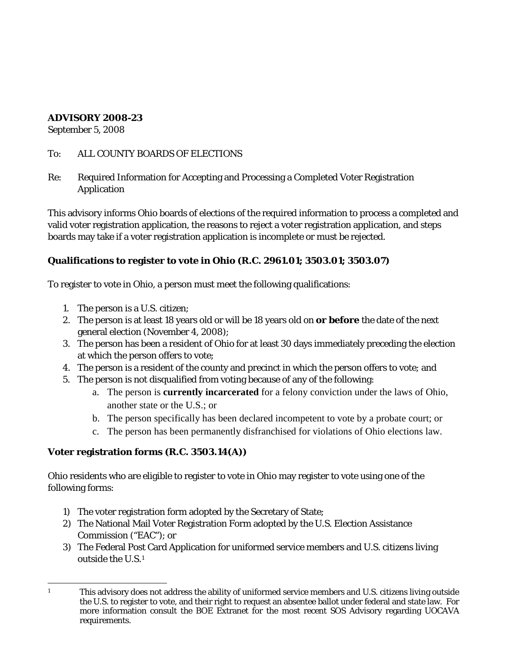#### **ADVISORY 2008-23**

September 5, 2008

# To: ALL COUNTY BOARDS OF ELECTIONS

Re: Required Information for Accepting and Processing a Completed Voter Registration Application

This advisory informs Ohio boards of elections of the required information to process a completed and valid voter registration application, the reasons to reject a voter registration application, and steps boards may take if a voter registration application is incomplete or must be rejected.

# **Qualifications to register to vote in Ohio (R.C. 2961.01; 3503.01; 3503.07)**

To register to vote in Ohio, a person must meet the following qualifications:

- 1. The person is a U.S. citizen;
- 2. The person is at least 18 years old or will be 18 years old on **or before** the date of the next general election (November 4, 2008);
- 3. The person has been a resident of Ohio for at least 30 days immediately preceding the election at which the person offers to vote;
- 4. The person is a resident of the county and precinct in which the person offers to vote; and
- 5. The person is not disqualified from voting because of any of the following:
	- a. The person is **currently incarcerated** for a felony conviction under the laws of Ohio, another state or the U.S.; or
	- b. The person specifically has been declared incompetent to vote by a probate court; or
	- c. The person has been permanently disfranchised for violations of Ohio elections law.

# **Voter registration forms (R.C. 3503.14(A))**

Ohio residents who are eligible to register to vote in Ohio may register to vote using one of the following forms:

- 1) The voter registration form adopted by the Secretary of State;
- 2) The National Mail Voter Registration Form adopted by the U.S. Election Assistance Commission ("EAC"); or
- 3) The Federal Post Card Application for uniformed service members and U.S. citizens living outside the U.S.[1](#page-0-0)

<span id="page-0-0"></span> $\mathbf{1}$ <sup>1</sup> This advisory does not address the ability of uniformed service members and U.S. citizens living outside the U.S. to register to vote, and their right to request an absentee ballot under federal and state law. For more information consult the BOE Extranet for the most recent SOS Advisory regarding UOCAVA requirements.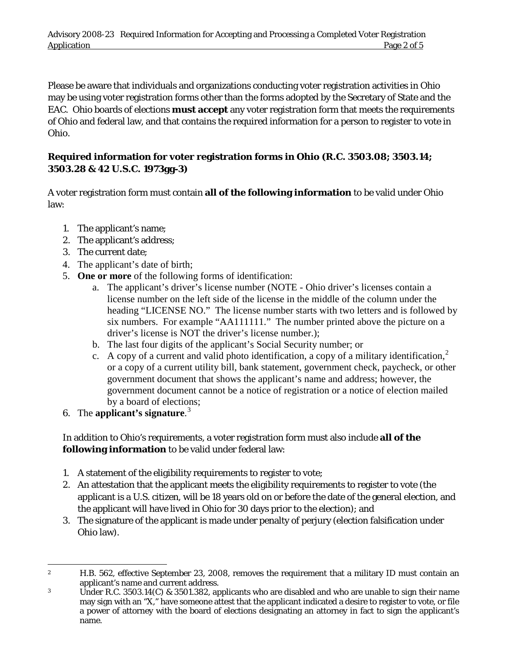Please be aware that individuals and organizations conducting voter registration activities in Ohio may be using voter registration forms other than the forms adopted by the Secretary of State and the EAC. Ohio boards of elections **must accept** any voter registration form that meets the requirements of Ohio and federal law, and that contains the required information for a person to register to vote in Ohio.

## **Required information for voter registration forms in Ohio (R.C. 3503.08; 3503.14; 3503.28 & 42 U.S.C. 1973gg-3)**

A voter registration form must contain **all of the following information** to be valid under Ohio law:

- 1. The applicant's name;
- 2. The applicant's address;
- 3. The current date;
- 4. The applicant's date of birth;
- 5. **One or more** of the following forms of identification:
	- a. The applicant's driver's license number (NOTE Ohio driver's licenses contain a license number on the left side of the license in the middle of the column under the heading "LICENSE NO." The license number starts with two letters and is followed by six numbers. For example "AA111111." The number printed above the picture on a driver's license is NOT the driver's license number.);
	- b. The last four digits of the applicant's Social Security number; or
	- c. A copy of a current and valid photo identification, a copy of a military identification,<sup>[2](#page-1-0)</sup> or a copy of a current utility bill, bank statement, government check, paycheck, or other government document that shows the applicant's name and address; however, the government document cannot be a notice of registration or a notice of election mailed by a board of elections;
- 6. The **applicant's signature**. [3](#page-1-1)

In addition to Ohio's requirements, a voter registration form must also include **all of the following information** to be valid under federal law:

- 1. A statement of the eligibility requirements to register to vote;
- 2. An attestation that the applicant meets the eligibility requirements to register to vote (the applicant is a U.S. citizen, will be 18 years old on or before the date of the general election, and the applicant will have lived in Ohio for 30 days prior to the election); and
- 3. The signature of the applicant is made under penalty of perjury (election falsification under Ohio law).

<span id="page-1-0"></span> $\overline{a}$ <sup>2</sup> H.B. 562, effective September 23, 2008, removes the requirement that a military ID must contain an applicant's name and current address.

<span id="page-1-1"></span><sup>&</sup>lt;sup>3</sup> Under R.C. 3503.14(C) & 3501.382, applicants who are disabled and who are unable to sign their name may sign with an "X," have someone attest that the applicant indicated a desire to register to vote, or file a power of attorney with the board of elections designating an attorney in fact to sign the applicant's name.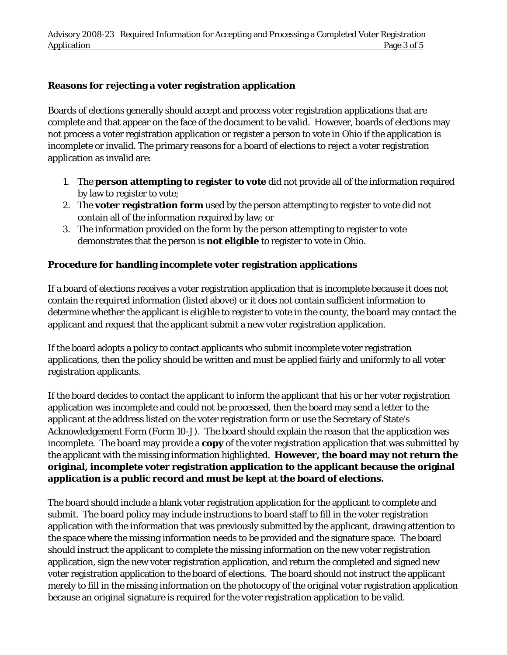#### **Reasons for rejecting a voter registration application**

Boards of elections generally should accept and process voter registration applications that are complete and that appear on the face of the document to be valid. However, boards of elections may not process a voter registration application or register a person to vote in Ohio if the application is incomplete or invalid. The primary reasons for a board of elections to reject a voter registration application as invalid are:

- 1. The **person attempting to register to vote** did not provide all of the information required by law to register to vote;
- 2. The **voter registration form** used by the person attempting to register to vote did not contain all of the information required by law; or
- 3. The information provided on the form by the person attempting to register to vote demonstrates that the person is **not eligible** to register to vote in Ohio.

## **Procedure for handling incomplete voter registration applications**

If a board of elections receives a voter registration application that is incomplete because it does not contain the required information (listed above) or it does not contain sufficient information to determine whether the applicant is eligible to register to vote in the county, the board may contact the applicant and request that the applicant submit a new voter registration application.

If the board adopts a policy to contact applicants who submit incomplete voter registration applications, then the policy should be written and must be applied fairly and uniformly to all voter registration applicants.

If the board decides to contact the applicant to inform the applicant that his or her voter registration application was incomplete and could not be processed, then the board may send a letter to the applicant at the address listed on the voter registration form or use the Secretary of State's Acknowledgement Form (Form 10-J). The board should explain the reason that the application was incomplete. The board may provide a **copy** of the voter registration application that was submitted by the applicant with the missing information highlighted. **However, the board may not return the original, incomplete voter registration application to the applicant because the original application is a public record and must be kept at the board of elections.** 

The board should include a blank voter registration application for the applicant to complete and submit. The board policy may include instructions to board staff to fill in the voter registration application with the information that was previously submitted by the applicant, drawing attention to the space where the missing information needs to be provided and the signature space. The board should instruct the applicant to complete the missing information on the new voter registration application, sign the new voter registration application, and return the completed and signed new voter registration application to the board of elections. The board should not instruct the applicant merely to fill in the missing information on the photocopy of the original voter registration application because an original signature is required for the voter registration application to be valid.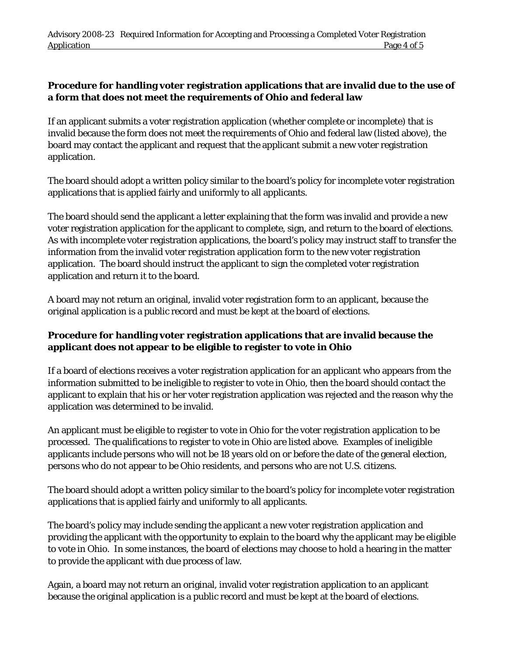## **Procedure for handling voter registration applications that are invalid due to the use of a form that does not meet the requirements of Ohio and federal law**

If an applicant submits a voter registration application (whether complete or incomplete) that is invalid because the form does not meet the requirements of Ohio and federal law (listed above), the board may contact the applicant and request that the applicant submit a new voter registration application.

The board should adopt a written policy similar to the board's policy for incomplete voter registration applications that is applied fairly and uniformly to all applicants.

The board should send the applicant a letter explaining that the form was invalid and provide a new voter registration application for the applicant to complete, sign, and return to the board of elections. As with incomplete voter registration applications, the board's policy may instruct staff to transfer the information from the invalid voter registration application form to the new voter registration application. The board should instruct the applicant to sign the completed voter registration application and return it to the board.

A board may not return an original, invalid voter registration form to an applicant, because the original application is a public record and must be kept at the board of elections.

## **Procedure for handling voter registration applications that are invalid because the applicant does not appear to be eligible to register to vote in Ohio**

If a board of elections receives a voter registration application for an applicant who appears from the information submitted to be ineligible to register to vote in Ohio, then the board should contact the applicant to explain that his or her voter registration application was rejected and the reason why the application was determined to be invalid.

An applicant must be eligible to register to vote in Ohio for the voter registration application to be processed. The qualifications to register to vote in Ohio are listed above. Examples of ineligible applicants include persons who will not be 18 years old on or before the date of the general election, persons who do not appear to be Ohio residents, and persons who are not U.S. citizens.

The board should adopt a written policy similar to the board's policy for incomplete voter registration applications that is applied fairly and uniformly to all applicants.

The board's policy may include sending the applicant a new voter registration application and providing the applicant with the opportunity to explain to the board why the applicant may be eligible to vote in Ohio. In some instances, the board of elections may choose to hold a hearing in the matter to provide the applicant with due process of law.

Again, a board may not return an original, invalid voter registration application to an applicant because the original application is a public record and must be kept at the board of elections.